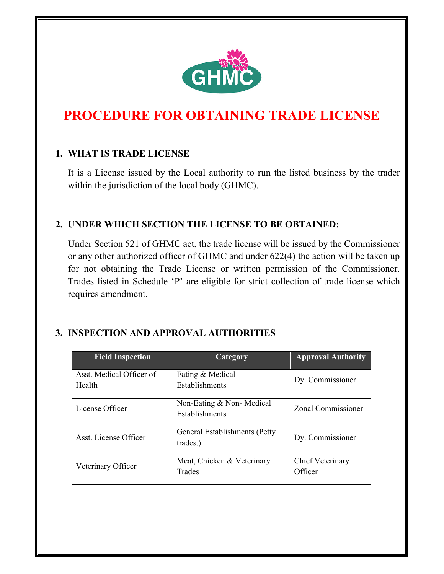

# **PROCEDURE FOR OBTAINING TRADE LICENSE**

#### **1. WHAT IS TRADE LICENSE**

It is a License issued by the Local authority to run the listed business by the trader within the jurisdiction of the local body (GHMC).

#### **2. UNDER WHICH SECTION THE LICENSE TO BE OBTAINED:**

Under Section 521 of GHMC act, the trade license will be issued by the Commissioner or any other authorized officer of GHMC and under 622(4) the action will be taken up for not obtaining the Trade License or written permission of the Commissioner. Trades listed in Schedule 'P' are eligible for strict collection of trade license which requires amendment.

## **3. INSPECTION AND APPROVAL AUTHORITIES**

| <b>Field Inspection</b>            | Category                                   | <b>Approval Authority</b>          |
|------------------------------------|--------------------------------------------|------------------------------------|
| Asst. Medical Officer of<br>Health | Eating & Medical<br>Establishments         | Dy. Commissioner                   |
| License Officer                    | Non-Eating & Non-Medical<br>Establishments | Zonal Commissioner                 |
| Asst. License Officer              | General Establishments (Petty)<br>trades.) | Dy. Commissioner                   |
| Veterinary Officer                 | Meat, Chicken & Veterinary<br>Trades       | <b>Chief Veterinary</b><br>Officer |